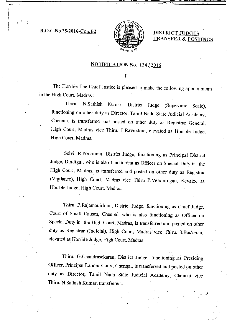R.O.C.No.25/2016-Con.B2

 $\mathcal{E}^{(n)}(t)$ 



DISTRICT JUDGES TRANSFER & POSTINGS

...2

## NOTIFICATION No. 134 /2016

The Hon'ble The Chief Justice is pleased to make the following appointments in the High Court, Madras:

Thiru. N.Sathish Kumar, District Judge (Supertime Scale), functioning on other duty as Director, Tamil Nadu State Judicial Academy, Chennai, is transferred and posted on other duty as Registrar General, High Court, Madras vice Thiru. T.Ravindran, elevated as Hon'ble Judge, High Court, Madras.

Selvi. R.Poornima, District Judge, functioning as Principal District Judge, Dindigul, who is also functioning as Officer on Special Duty in the High Court, Madras, is transferred and posted on other duty as Registrar (Vigilance), High Court, Madras vice Thiru P.Velmurugan, elevated as Hon'ble Judge, High Court, Madras.

Thiru. P.Rajamanickam, District Judge, functioning as Chief Judge, Court of Small Causes, Chennai, who is also functioning as Officer on Special Duty in the High Court, Madras, is transferred and posted on other duty as Registrar (Judicial), High Court, Madras vice Thiru. S.Baskaran, elevated as Hon'ble Judge, High Court, Madras.

Thiru. G.Chandrasekaran, District Judge, functioning . as Presiding Officer, Principal Labour Court, Chennai, is transferred and posted on other duty. as Director, Tamil Nadu State Judicial Academy, Chennai vice Thiru. N.Sathish Kumar, transferred..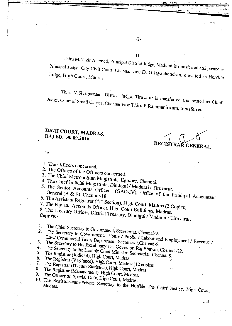Н

-2-

Thiru M.Nazir Ahamed, Principal District Judge, Madurai is transferred and posted as  $P_{\text{ref}}$   $\sim$   $\frac{1}{2}$   $\frac{1}{2}$  Civil Court, Chennai vice Dr.G. Javachandran, electrical as Rouble as Rouble as Rouble as Rouble as Rouble as Rouble as Rouble as Rouble as Rouble as Rouble as Rouble as Rouble and Poste Judge, High Court, Madras.

Thiru V.Sivagnanam, District Judge, Tiruvarur is transferred and posted as Chief Judge, Court of Small Causes, Chennai vice Thiru P.Rajamanickam, transferred.

# **HIGH COURT, MADRAS. DATED: 30.09.2016.**

**REG1RAR GENERAL.** 

To

1. The Officers concerned.

2. The Offices of the Officers concerned.

3. The Chief Metropolitan Magistrate, Egmore, Chennai.

4. The Chief Judicial Magistrate, Dindigul / Madurai / Tiruvarur. 5. The Senior Accounts Officer (GAD-IV) Occ. General  $(A \& E)$ , Chennai-18. (GAD-IV), Office of the Principal Accountant

6.

7. The Pay and Accounts Office III. High Court, Madras (2 Copies). 7. The Pay and Accounts Officer, High Court Buildings, Madras.

The Trensum Accounts Officer, High Court Buildings, Madrid.

**Copy to: The Treasury, District Treasury, Dindigul / Madurai / Tiruvarur.** 

I.

2. The Secretary to Government, Secretariat, Chennai-9. Law/ Commercial Taxes  $D_{\text{max}}$ , Home / Public / Labour and Employment / Revenue / Revenue / Revenue / Revenue / Revenue / Revenue / Revenue / Revenue / Revenue / Revenue / Revenue / Revenue / Revenue / Revenue / Revenue

3. The Secretary to His Expellent and Secretariat, Chennai-9.

- The Secretary to  $H_{1}$  is excellency The Governor, Raj Bhavan,  $C_1$ 4.
- 
- 5. The Registrar (Judicial), High Court, Madras.<br>6. The Registrar (Vigilance), High Court, Madras (12 copies)<br>7. The Registrar (IT-cum-Statistics), High Court, Madras.<br>8. The Registrar (Management), High Court, Madras. 5. The Registrar (Judicial), High Court, Madres. Secretariat, Chennai-9.
- $rac{6}{7}$
- 7. The Registrar (IT-cum-Statistics), High Court, Madras.<br>8. The Registrar (Management), High Court, Madras.<br>9. The Officer on G.
- 
- 
- The Officer on Special Duty, High Court, Madras. 10. The Registrar-cum-Private Secretary to the Hon'ble The Chief Justice, High Court,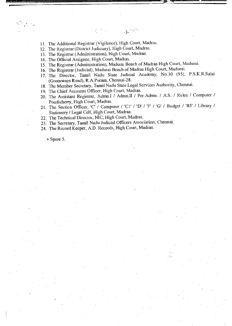- II. The Additional Registrar (Vigilance), High Court, Madras.
- 12. The Registrar (District Judiciary), High Court, Madras.
- 13. The Registrar (Administration), High Court, Madras.
- 14. The Official Assignee, High Court, Madras.
- 15. The Registrar (Administration), Madurai Bench of Madras High Court, Madurai.
- 16. The Registrar (Judicial), Madurai Bench of Madras High Court, Madurai.
- 17. The Director, Tamil Nadu State Judicial Academy, No.30 (95), P.S.K.R.Salai (Greenways Road), R.A.Puram, Chennai-28.

 $-3-$ 

- 18. The Member Secretary, Tamil Nadu State Legal Services Authority, Chennai.
- 19. The Chief Accounts Officer, High Court, Madras.
- 20. The Assistant Registrar, Admn.I / Admn.II / Per.Admn. / A.S. / Rules / Computer / Pondicherry, High Court, Madras.
- 21. The Section Officer, 'C' / Computer / 'Cl' / 'D' / 'F' / 'G' / Budget / 'B5' / Library / Stationery / Legal Cell, High Court, Madras.
- 22. The Technical Director, NIC, High Court, Madras.
- 23. The Secretary, Tamil Nadu Judicial Officers Association, Chennai.
- 24. The Record Keeper, A.D. Records, High Court, Madras.

+ Spare 5.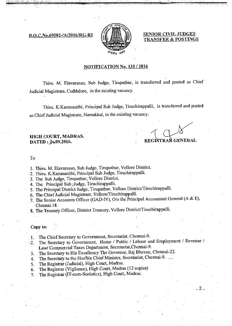

,

 $R.O.C.No.69502-/A/2016/RG-B2$   $s \notin \mathbb{R} \$  SENIOR CIVIL JUDGES TRANSFER & POSTINGS

### NOTIFICATION No. 135 / 2016

Thiru. M. Elavarasan, Sub Judge, Tirupathur, is transferred and posted as Chief Judicial Magistrate, Cuddalore, in the existing vacancy.

Thiru. K.Karunanithi, Principal Sub Judge, Tiruchirappalli, is transferred and posted as Chief Judicial Magistrate, Namakkal, in the existing vacancy.

### HIGH COURT, MADRAS. DATED : 3%09.2016. REGISTRAR GENERAL

To

- 1. Thiru. M. Elavarasan, Sub Judge, Tirupathur, Vellore District.
- 2. Thiru. K.Kamnanithi, Principal Sub Judge, Tiruchirappalli.
- 3. The Sub Judge, Tirupathur, Vellore District.
- 4. The Principal Sub Judge, Tiruchirappalli.
- 5. The Principal District Judge, Tirupathur, Vellore District/Tiruchirappalli.
- 6. The Chief Judicial Magistrate, Vellore/Tiruchirappalli.
- 7. The Senior Accounts Officer (GAD-IV), 0/o the Principal Accountant General (A & E), Chennai.18.
- 8. The Treasury Officer, District Treasury, Vellore District/Tiruchirappalli.

#### Copy to:

- 1. The Chief Secretary to Government, Secretariat, Chennai-9.•
- 2. The Secretary to Government, Home / Public / Labour and Employment / Revenue / Law/ Commercial Taxes Department, Secretariat,Chennai-9.
- 3. The Secretary to His Excellency The Governor, Raj Bhavan, Chennai-22.
- 4. The Secretary to the Hon'ble Chief Minister, Secretariat, Chennai-9.
- 5. The Registrar (Judicial), High Court, Madras.
- 6. The Registrar (Vigilance), High Court, Madras (12 copies)
- 7. The Registrar (IT-cum-Statistics), High Court, Madras.